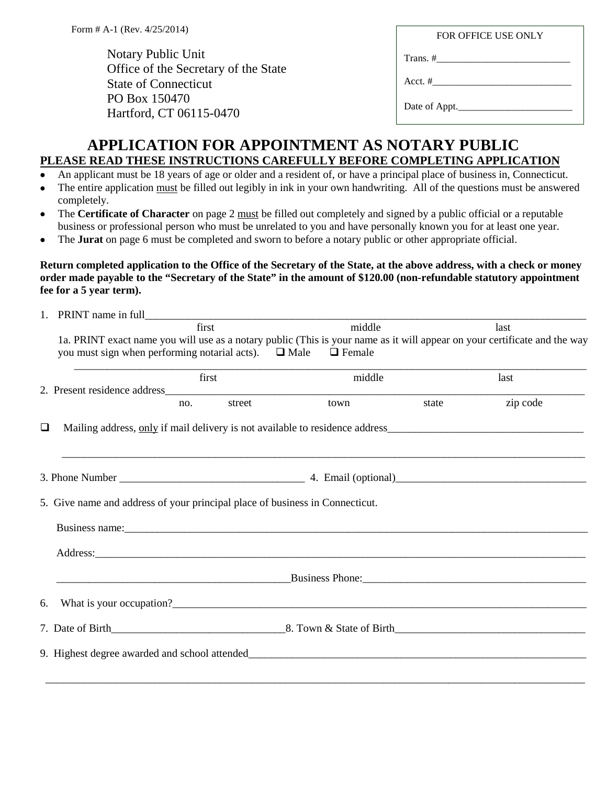Notary Public Unit Office of the Secretary of the State State of Connecticut PO Box 150470 Hartford, CT 06115-0470

Trans. #\_\_\_\_\_\_\_\_\_\_\_\_\_\_\_\_\_\_\_\_\_\_\_\_\_\_\_

Acct.  $\#$ 

Date of Appt.

## **APPLICATION FOR APPOINTMENT AS NOTARY PUBLIC PLEASE READ THESE INSTRUCTIONS CAREFULLY BEFORE COMPLETING APPLICATION**

- An applicant must be 18 years of age or older and a resident of, or have a principal place of business in, Connecticut.
- The entire application must be filled out legibly in ink in your own handwriting. All of the questions must be answered completely.
- The **Certificate of Character** on page 2 must be filled out completely and signed by a public official or a reputable business or professional person who must be unrelated to you and have personally known you for at least one year.
- The **Jurat** on page 6 must be completed and sworn to before a notary public or other appropriate official.

## **Return completed application to the Office of the Secretary of the State, at the above address, with a check or money order made payable to the "Secretary of the State" in the amount of \$120.00 (non-refundable statutory appointment fee for a 5 year term).**

|                                                                                                                                                                                                                                    | PRINT name in full                                                                                                                                                                                                             |        |                                                                                   |       |          |  |
|------------------------------------------------------------------------------------------------------------------------------------------------------------------------------------------------------------------------------------|--------------------------------------------------------------------------------------------------------------------------------------------------------------------------------------------------------------------------------|--------|-----------------------------------------------------------------------------------|-------|----------|--|
|                                                                                                                                                                                                                                    | first                                                                                                                                                                                                                          |        | middle                                                                            |       | last     |  |
|                                                                                                                                                                                                                                    | 1a. PRINT exact name you will use as a notary public (This is your name as it will appear on your certificate and the way<br>you must sign when performing notarial acts). $\Box$ Male $\Box$ Female                           |        |                                                                                   |       |          |  |
|                                                                                                                                                                                                                                    | first                                                                                                                                                                                                                          |        | middle                                                                            |       | last     |  |
|                                                                                                                                                                                                                                    | no.                                                                                                                                                                                                                            | street | town                                                                              | state | zip code |  |
| □                                                                                                                                                                                                                                  | Mailing address, only if mail delivery is not available to residence address                                                                                                                                                   |        | ,我们也不能在这里的人,我们也不能在这里的人,我们也不能在这里的人,我们也不能在这里的人,我们也不能在这里的人,我们也不能在这里的人,我们也不能在这里的人,我们也 |       |          |  |
|                                                                                                                                                                                                                                    |                                                                                                                                                                                                                                |        |                                                                                   |       |          |  |
|                                                                                                                                                                                                                                    | 5. Give name and address of your principal place of business in Connecticut.                                                                                                                                                   |        |                                                                                   |       |          |  |
|                                                                                                                                                                                                                                    | Business name: No. 1996. The same state of the same state of the same state of the same state of the same state of the same state of the same state of the same state of the same state of the same state of the same state of |        |                                                                                   |       |          |  |
|                                                                                                                                                                                                                                    |                                                                                                                                                                                                                                |        |                                                                                   |       |          |  |
| <b>Existence Business Phone: Contract Contract Contract Contract Contract Contract Contract Contract Contract Contract Contract Contract Contract Contract Contract Contract Contract Contract Contract Contract Contract Cont</b> |                                                                                                                                                                                                                                |        |                                                                                   |       |          |  |
| 6.                                                                                                                                                                                                                                 | What is your occupation?                                                                                                                                                                                                       |        |                                                                                   |       |          |  |
|                                                                                                                                                                                                                                    |                                                                                                                                                                                                                                |        |                                                                                   |       |          |  |
|                                                                                                                                                                                                                                    |                                                                                                                                                                                                                                |        |                                                                                   |       |          |  |
|                                                                                                                                                                                                                                    |                                                                                                                                                                                                                                |        |                                                                                   |       |          |  |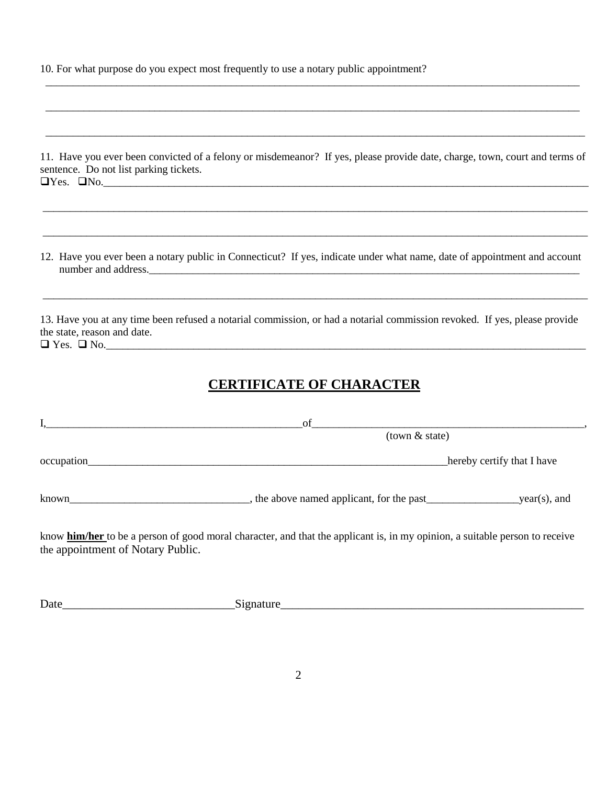10. For what purpose do you expect most frequently to use a notary public appointment?

| 11. Have you ever been convicted of a felony or misdemeanor? If yes, please provide date, charge, town, court and terms of |  |
|----------------------------------------------------------------------------------------------------------------------------|--|
| sentence. Do not list parking tickets.                                                                                     |  |
| $\Box$ Yes. $\Box$ No.                                                                                                     |  |

\_\_\_\_\_\_\_\_\_\_\_\_\_\_\_\_\_\_\_\_\_\_\_\_\_\_\_\_\_\_\_\_\_\_\_\_\_\_\_\_\_\_\_\_\_\_\_\_\_\_\_\_\_\_\_\_\_\_\_\_\_\_\_\_\_\_\_\_\_\_\_\_\_\_\_\_\_\_\_\_\_\_\_\_\_\_\_\_\_\_\_\_\_\_\_\_\_\_\_\_

\_\_\_\_\_\_\_\_\_\_\_\_\_\_\_\_\_\_\_\_\_\_\_\_\_\_\_\_\_\_\_\_\_\_\_\_\_\_\_\_\_\_\_\_\_\_\_\_\_\_\_\_\_\_\_\_\_\_\_\_\_\_\_\_\_\_\_\_\_\_\_\_\_\_\_\_\_\_\_\_\_\_\_\_\_\_\_\_\_\_\_\_\_\_\_\_\_\_\_\_

\_\_\_\_\_\_\_\_\_\_\_\_\_\_\_\_\_\_\_\_\_\_\_\_\_\_\_\_\_\_\_\_\_\_\_\_\_\_\_\_\_\_\_\_\_\_\_\_\_\_\_\_\_\_\_\_\_\_\_\_\_\_\_\_\_\_\_\_\_\_\_\_\_\_\_\_\_\_\_\_\_\_\_\_\_\_\_\_\_\_\_\_\_\_\_\_\_\_\_

\_\_\_\_\_\_\_\_\_\_\_\_\_\_\_\_\_\_\_\_\_\_\_\_\_\_\_\_\_\_\_\_\_\_\_\_\_\_\_\_\_\_\_\_\_\_\_\_\_\_\_\_\_\_\_\_\_\_\_\_\_\_\_\_\_\_\_\_\_\_\_\_\_\_\_\_\_\_\_\_\_\_\_\_\_\_\_\_\_\_\_\_\_\_\_\_\_\_

\_\_\_\_\_\_\_\_\_\_\_\_\_\_\_\_\_\_\_\_\_\_\_\_\_\_\_\_\_\_\_\_\_\_\_\_\_\_\_\_\_\_\_\_\_\_\_\_\_\_\_\_\_\_\_\_\_\_\_\_\_\_\_\_\_\_\_\_\_\_\_\_\_\_\_\_\_\_\_\_\_\_\_\_\_\_\_\_\_\_\_\_\_\_\_\_\_\_

12. Have you ever been a notary public in Connecticut? If yes, indicate under what name, date of appointment and account number and address.\_\_\_\_\_\_\_\_\_\_\_\_\_\_\_\_\_\_\_\_\_\_\_\_\_\_\_\_\_\_\_\_\_\_\_\_\_\_\_\_\_\_\_\_\_\_\_\_\_\_\_\_\_\_\_\_\_\_\_\_\_\_\_\_\_\_\_\_\_\_\_\_\_\_\_\_\_\_\_

\_\_\_\_\_\_\_\_\_\_\_\_\_\_\_\_\_\_\_\_\_\_\_\_\_\_\_\_\_\_\_\_\_\_\_\_\_\_\_\_\_\_\_\_\_\_\_\_\_\_\_\_\_\_\_\_\_\_\_\_\_\_\_\_\_\_\_\_\_\_\_\_\_\_\_\_\_\_\_\_\_\_\_\_\_\_\_\_\_\_\_\_\_\_\_\_\_\_\_\_

13. Have you at any time been refused a notarial commission, or had a notarial commission revoked. If yes, please provide the state, reason and date.  $\Box$  Yes.  $\Box$  No.

## **CERTIFICATE OF CHARACTER**

|            | of                                       |                            |
|------------|------------------------------------------|----------------------------|
|            | $(town &$ state)                         |                            |
| occupation |                                          | hereby certify that I have |
| known      | the above named applicant, for the past_ | year(s), and               |

know **him/her** to be a person of good moral character, and that the applicant is, in my opinion, a suitable person to receive the appointment of Notary Public.

| ∽<br>Date |  |
|-----------|--|
|           |  |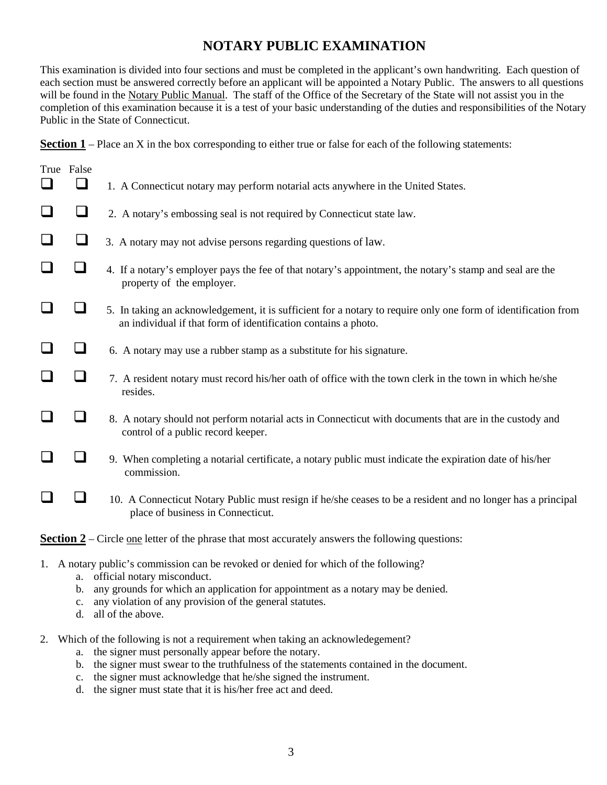## **NOTARY PUBLIC EXAMINATION**

This examination is divided into four sections and must be completed in the applicant's own handwriting. Each question of each section must be answered correctly before an applicant will be appointed a Notary Public. The answers to all questions will be found in the Notary Public Manual. The staff of the Office of the Secretary of the State will not assist you in the completion of this examination because it is a test of your basic understanding of the duties and responsibilities of the Notary Public in the State of Connecticut.

**Section 1** – Place an X in the box corresponding to either true or false for each of the following statements:

|                                                                                                          | True False |                                                                                                                                                                                  |  |
|----------------------------------------------------------------------------------------------------------|------------|----------------------------------------------------------------------------------------------------------------------------------------------------------------------------------|--|
|                                                                                                          | $\Box$     | 1. A Connecticut notary may perform notarial acts anywhere in the United States.                                                                                                 |  |
| $\Box$                                                                                                   | $\Box$     | 2. A notary's embossing seal is not required by Connecticut state law.                                                                                                           |  |
|                                                                                                          | $\Box$     | 3. A notary may not advise persons regarding questions of law.                                                                                                                   |  |
|                                                                                                          | $\Box$     | 4. If a notary's employer pays the fee of that notary's appointment, the notary's stamp and seal are the<br>property of the employer.                                            |  |
|                                                                                                          | ┚          | 5. In taking an acknowledgement, it is sufficient for a notary to require only one form of identification from<br>an individual if that form of identification contains a photo. |  |
|                                                                                                          | $\Box$     | 6. A notary may use a rubber stamp as a substitute for his signature.                                                                                                            |  |
|                                                                                                          | $\Box$     | 7. A resident notary must record his/her oath of office with the town clerk in the town in which he/she<br>resides.                                                              |  |
|                                                                                                          | $\Box$     | 8. A notary should not perform notarial acts in Connecticut with documents that are in the custody and<br>control of a public record keeper.                                     |  |
|                                                                                                          | $\Box$     | 9. When completing a notarial certificate, a notary public must indicate the expiration date of his/her<br>commission.                                                           |  |
|                                                                                                          | $\Box$     | 10. A Connecticut Notary Public must resign if he/she ceases to be a resident and no longer has a principal<br>place of business in Connecticut.                                 |  |
| <b>Section 2</b> – Circle one letter of the phrase that most accurately answers the following questions: |            |                                                                                                                                                                                  |  |
|                                                                                                          |            | 1. A notary public's commission can be revoked or denied for which of the following?                                                                                             |  |

- a. official notary misconduct.
- b. any grounds for which an application for appointment as a notary may be denied.
- c. any violation of any provision of the general statutes.
- d. all of the above.
- 2. Which of the following is not a requirement when taking an acknowledegement?
	- a. the signer must personally appear before the notary.
	- b. the signer must swear to the truthfulness of the statements contained in the document.
	- c. the signer must acknowledge that he/she signed the instrument.
	- d. the signer must state that it is his/her free act and deed.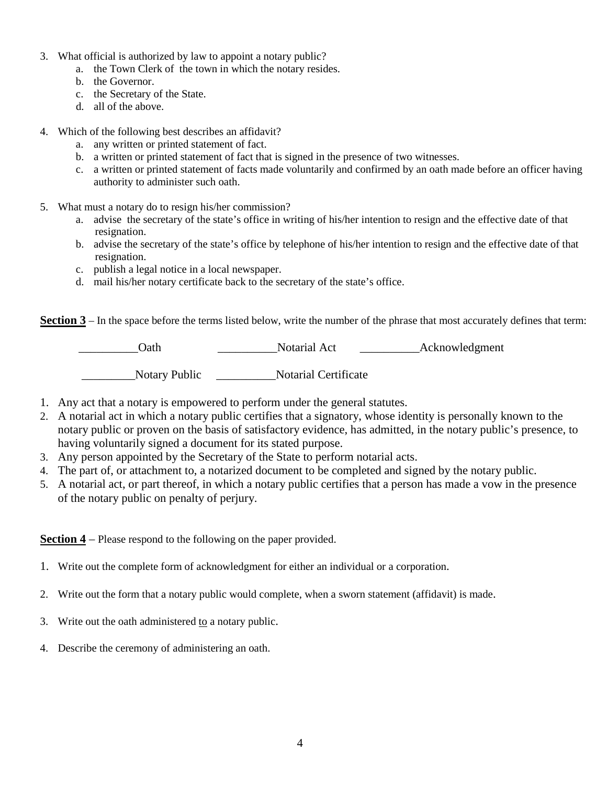- 3. What official is authorized by law to appoint a notary public?
	- a. the Town Clerk of the town in which the notary resides.
	- b. the Governor.
	- c. the Secretary of the State.
	- d. all of the above.
- 4. Which of the following best describes an affidavit?
	- a. any written or printed statement of fact.
	- b. a written or printed statement of fact that is signed in the presence of two witnesses.
	- c. a written or printed statement of facts made voluntarily and confirmed by an oath made before an officer having authority to administer such oath.
- 5. What must a notary do to resign his/her commission?
	- a. advise the secretary of the state's office in writing of his/her intention to resign and the effective date of that resignation.
	- b. advise the secretary of the state's office by telephone of his/her intention to resign and the effective date of that resignation.
	- c. publish a legal notice in a local newspaper.
	- d. mail his/her notary certificate back to the secretary of the state's office.

**Section 3** – In the space before the terms listed below, write the number of the phrase that most accurately defines that term:

 \_\_\_\_\_\_\_\_\_\_Oath \_\_\_\_\_\_\_\_\_\_Notarial Act \_\_\_\_\_\_\_\_\_\_Acknowledgment \_\_\_\_\_\_\_\_\_Notary Public \_\_\_\_\_\_\_\_\_\_Notarial Certificate

- 1. Any act that a notary is empowered to perform under the general statutes.
- 2. A notarial act in which a notary public certifies that a signatory, whose identity is personally known to the notary public or proven on the basis of satisfactory evidence, has admitted, in the notary public's presence, to having voluntarily signed a document for its stated purpose.
- 3. Any person appointed by the Secretary of the State to perform notarial acts.
- 4. The part of, or attachment to, a notarized document to be completed and signed by the notary public.
- 5. A notarial act, or part thereof, in which a notary public certifies that a person has made a vow in the presence of the notary public on penalty of perjury.

**Section 4** – Please respond to the following on the paper provided.

- 1. Write out the complete form of acknowledgment for either an individual or a corporation.
- 2. Write out the form that a notary public would complete, when a sworn statement (affidavit) is made.
- 3. Write out the oath administered to a notary public.
- 4. Describe the ceremony of administering an oath.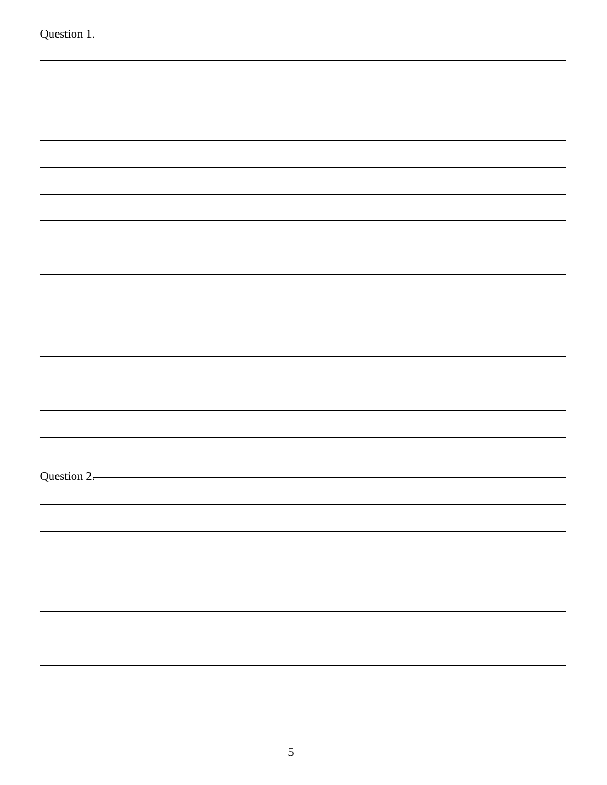| Question 1. |  |
|-------------|--|
|             |  |
|             |  |
|             |  |
|             |  |
|             |  |
|             |  |
|             |  |
|             |  |
|             |  |
|             |  |
|             |  |
|             |  |
|             |  |
|             |  |
|             |  |
|             |  |
|             |  |
|             |  |
|             |  |
|             |  |
|             |  |
|             |  |
|             |  |
|             |  |
|             |  |
|             |  |
|             |  |
|             |  |
|             |  |
| Question 2. |  |
|             |  |
|             |  |
|             |  |
|             |  |
|             |  |
|             |  |
|             |  |
|             |  |
|             |  |
|             |  |
|             |  |
|             |  |
|             |  |